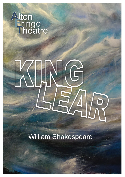# **A**lton **T**heatre **F**ringe

# William Shakespeare

**KING LEAR**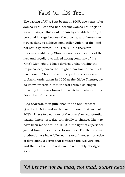## **Note on the Text**

The writing of *King Lear* began in 1605, two years after James VI of Scotland had become James I of England as well. As yet this dual monarchy constituted only a personal linkage between the crowns, and James was now seeking to achieve some fuller Union (of the kind not actually formed until 1707). It is therefore understandable why Shakespeare, as a member of the new and royally-patronized acting company of the King's Men, should have devised a play tracing the tragic consequences that might stem from a realm left partitioned. Though the initial performances were probably undertaken in 1606 at the Globe Theatre, we do know for certain that the work was also staged privately for James himself in Whitehall Palace during December of that year.

*King Lear* was then published in the Shakespeare Quarto of 1608, and in the posthumous First Folio of 1623. These two editions of the play show substantial textual differences, due principally to changes likely to have been made around 1610 in the light of experience gained from the earlier performances. For the present production we have followed the usual modern practice of developing a script that conflates the two versions and then delivers the outcome in a suitably abridged form.

### *"O! Let me not be mad, not mad, sweet heav*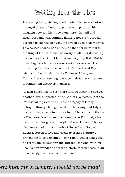# **Getting into the Plot**

The ageing Lear, wishing to relinquish his powers but not his royal title and honours, proposes to partition his kingdom between his three daughters. Goneril and Regan respond with cunning flattery. However, Cordelia declines to express her genuine love in such hollow terms. This causes Lear to banish her, so that her betrothal to the King of France carries no dowry at all. For defending her honesty the Earl of Kent is similarly expelled. But he then disguises himself as a servant so as to stay close in protecting Lear from the conduct of Goneril and Regan who, with their husbands the Dukes of Albany and Cornwall, are proceeding to abuse their father's trust and to render him effectively homeless.

As Lear succumbs to ever more furious anger, he has yet another loyal supporter in the Earl of Gloucester. Yet the latter is falling victim to a second tragedy of family betrayal, through being misled into believing that Edgar, his own heir, means to murder him. The source of this lie is Gloucester's other and illegitimate son Edmund, who has his own designs on usurping the earldom and is now also implicated in the misrule of Goneril and Regan. Edgar is forced to flee and seeks to escape capture by pretending to be demented "Poor Tom". Under that guise he eventually encounters the outcast Lear who, with his Fool, is now wandering across a storm-tossed heath in an increasingly disordered state of mind...

### *"O! Let me not be mad, not mad, sweet heaven; keep me in temper; I would not be mad!"*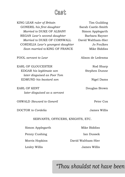## **Cast**

KING LEAR *ruler of Britain* Tim Guilding GONERIL his first daughter Sarah Castle-Smith *Married to* DUKE OF ALBANY Simon Applegarth REGAN *Lear's second daughter* Barbara Rayner *Married to* DUKE OF CORNWALL David Waltham-Hier CORDELIA *Lear's youngest daughter* Jo Foulkes *Soon married to* KING OF FRANCE Mike Biddiss

FOOL *servant to Lear* Alison de Ledesma

EARL OF GLOUCESTER Rod Sharp EDGAR *his legitimate son* Stephen Dunne *later disguised as Poor Tom* EDMUND *his bastard son* Nigel Dams

EARL OF KENT Douglas Brown *later disguised as a servant*

OSWALD *Steward to Goneril* Peter Cox

DOCTOR *to Cordelia* James Willis

SERVANTS, OFFICERS, KNIGHTS, ETC.

Simon Applegarth Mike Biddiss

Lesley Willis James Willis

Penny Cushing Ian Dussek Morris Hopkins David Waltham-Hier

*"Thou shouldst not have been*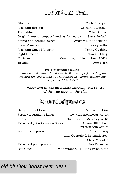# **Production Team**

Director Chris Chappell Assistant director Catherine Gerlach Text editor **Mike Biddiss** Original music composed and performed by Steve Gerlach Sound and lighting design **Andy & Matt Stickland** Stage Manager **Lesley Willis** Assistant Stage Manager Penny Cushing Fight Director Tim Guilding Costume Company, and loans from AODS Regalia Ann Noon

Pre-performance music :

*"Parce mihi domine" Christobal de Morales - performed by the Hilliard Ensemble with Jan Garbarek on soprano saxophone. (Officium, ECM 1994).*

#### *There will be one 20 minute interval, two thirds of the way through the play*



| Bar / Front of House          | Morris Hopkins                          |
|-------------------------------|-----------------------------------------|
| Poster/programme image        | www.kareneamesart.co.uk                 |
| Publicity                     | Sue Hubbard & Lesley Willis             |
| Rehearsal / Performance Space | Amery Hill School<br>Wessex Arts Centre |
| Wardrobe & props              | The company                             |
|                               | Alton Operatic & Dramatic Soc.          |
|                               | Steve Marsden                           |
| Rehearsal photographs         | Ian Dumelow                             |
| Box Office                    | Waterstones, 41 High Street, Alton      |
|                               |                                         |

# *"Thou shouldst not have been old till thou hadst been wise."*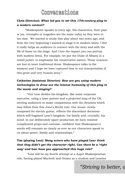

#### **Chris (Director):** *What led you to set this 17th-century play in a modern context?*

"Shakespeare speaks to every age. His characters, their pain or joy, triumphs or tragedies are the same today as they were in his time. We started to study this play about two years ago, and from the very beginning I wanted to stage it in modern times. I feel it really helps an audience to connect with the story and with the life of those on the stage. And I love the impact you can portray with modern dress. For example, we put the Duke of Albany in a tweed jacket, to emphasise his conservative nature. These nuances are lost in more traditional dress. Shakespeare talks to the moment and I hope we have captured that in our interpretation of this great and very human story."

#### **Catherine (Assistant Director):** *How are you using modern technologies to draw out the intense humanity of this play in the music and staging?*

"Our Lear divides his kingdom, like some corporate executive, using a laser pointer and a projected map of the UK, inviting audiences to make comparisons with the divisions which may follow from this June's Brexit vote. Our music, newlycomposed for electric guitar, reflects the discordant decisions which will fragment Lear's kingdom, his family and, crucially, his mind. In our deliberately spare production we have resisted complicated props and costume, confident that Shakespeare's words will resonate as clearly as ever as our characters speak to us about power, family and relationships."

#### **Tim (playing Lear):** *Many actors who have played Lear think that they didn't get the character right. Can there be a 'right way' and how have you approached this huge role?*

*"*Lear will be my fourth attempt at a major Shakespearean role, having played Macbeth and Orsino as a student and Leontes

*"Striving to better, oft we mar what's well."*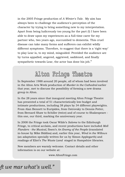in the 2005 Fringe production of *A Winter's Tale*. My aim has always been to challenge the audience's perception of the character by trying to bring something new to my interpretation. Apart from being ludicrously too young for the part (!) I have been able to draw upon my experiences as a full-time carer for my partner who, two years ago, succumbed to dementia. This cruel disease can take many forms and sufferers can exhibit wildly different symptoms. Therefore, to suggest that there is a 'right way' to play Lear is, to my mind, misguided. Provided the audience are by turns appalled, angered, aggrieved, saddened, and finally sympathetic towards Lear, the actor has done his job."



In September 1988 around 20 people, all of whom had been involved in the Alton Arts Week production of *Murder in the Cathedral* earlier that year, met to discuss the possibility of forming a new drama group in Alton.

In the 28 years since that inaugural meeting Alton Fringe Theatre has presented a total of 51 characteristically low-budget and intimate productions, including 38 plays by 34 different playwrights. From Alan Bennett to Euripides, from Ostrovsky to Dennis Potter, from Bernard Shaw to Schiller (twice) and of course to Shakespeare this one, our third, marking the anniversary year.

In 2008 the Fringe took Oscar Wilde's *Salome* to the Edinburgh Fringe, to critical acclaim, and recent productions have included *Moll Flanders - the Musical,* Ibsen's *An Enemy of the People* (translated in-house by Mike Biddiss) and, earlier this year, *Wind in the Willows* (an adaptation specially written for us by Simon Applegarth) and readings of Eliot's *The Waste Land* staged in Hampshire libraries.

New members are warmly welcome. Contact details and other information is on our website at:

www.AltonFringe.com

## *"Striving to better, oft we mar what's well."*